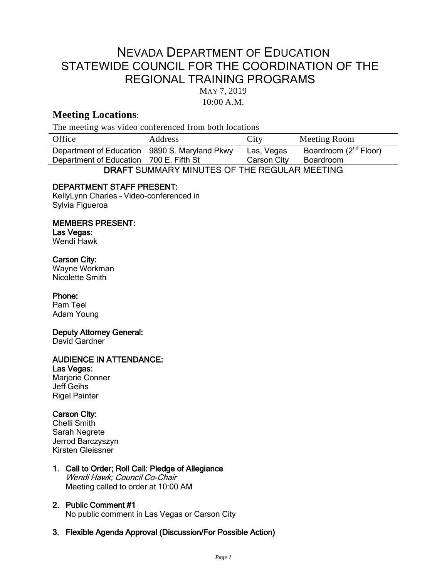# NEVADA DEPARTMENT OF EDUCATION STATEWIDE COUNCIL FOR THE COORDINATION OF THE REGIONAL TRAINING PROGRAMS

MAY 7, 2019

10:00 A.M.

# **Meeting Locations**:

The meeting was video conferenced from both locations

| Office                                            | <b>Address</b>        | City        | Meeting Room                      |
|---------------------------------------------------|-----------------------|-------------|-----------------------------------|
| Department of Education                           | 9890 S. Maryland Pkwy | Las, Vegas  | Boardroom (2 <sup>nd</sup> Floor) |
| Department of Education 700 E. Fifth St           |                       | Carson City | Boardroom                         |
| DRAFT CLIMMARY MINILITES OF THE RECLILAR MEETING. |                       |             |                                   |

DRAFT SUMMARY MINUTES OF THE REGULAR MEETING

# DEPARTMENT STAFF PRESENT:

KellyLynn Charles – Video-conferenced in Sylvia Figueroa

#### MEMBERS PRESENT:

Las Vegas: Wendi Hawk

## Carson City:

Wayne Workman Nicolette Smith

#### Phone:

Pam Teel Adam Young

#### Deputy Attorney General:

David Gardner

# AUDIENCE IN ATTENDANCE:

Las Vegas: Marjorie Conner Jeff Geihs Rigel Painter

# Carson City:

Chelli Smith Sarah Negrete Jerrod Barczyszyn Kirsten Gleissner

#### 1. Call to Order; Roll Call: Pledge of Allegiance Wendi Hawk; Council Co-Chair Meeting called to order at 10:00 AM

#### 2. Public Comment #1 No public comment in Las Vegas or Carson City

#### 3. Flexible Agenda Approval (Discussion/For Possible Action)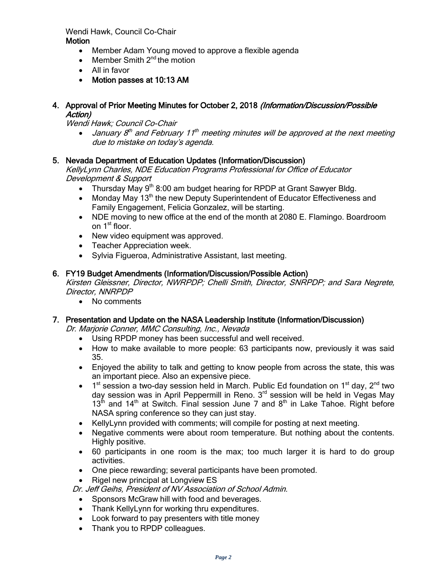# Wendi Hawk, Council Co-Chair

**Motion** 

- Member Adam Young moved to approve a flexible agenda
- Member Smith  $2^{nd}$  the motion
- All in favor
- Motion passes at 10:13 AM
- 4. Approval of Prior Meeting Minutes for October 2, 2018 (Information/Discussion/Possible Action)

Wendi Hawk; Council Co-Chair

• January  $8<sup>th</sup>$  and February 11<sup>th</sup> meeting minutes will be approved at the next meeting due to mistake on today's agenda.

## 5. Nevada Department of Education Updates (Information/Discussion)

KellyLynn Charles, NDE Education Programs Professional for Office of Educator Development & Support

- Thursday May  $9<sup>th</sup> 8:00$  am budget hearing for RPDP at Grant Sawyer Bldg.
- Monday May 13<sup>th</sup> the new Deputy Superintendent of Educator Effectiveness and Family Engagement, Felicia Gonzalez, will be starting.
- NDE moving to new office at the end of the month at 2080 E. Flamingo. Boardroom on 1<sup>st</sup> floor.
- New video equipment was approved.
- Teacher Appreciation week.
- Sylvia Figueroa, Administrative Assistant, last meeting.

## 6. FY19 Budget Amendments (Information/Discussion/Possible Action)

Kirsten Gleissner, Director, NWRPDP; Chelli Smith, Director, SNRPDP; and Sara Negrete, Director, NNRPDP

• No comments

# 7. Presentation and Update on the NASA Leadership Institute (Information/Discussion)

Dr. Marjorie Conner, MMC Consulting, Inc., Nevada

- Using RPDP money has been successful and well received.
- How to make available to more people: 63 participants now, previously it was said 35.
- Enjoyed the ability to talk and getting to know people from across the state, this was an important piece. Also an expensive piece.
- $1<sup>st</sup>$  session a two-day session held in March. Public Ed foundation on  $1<sup>st</sup>$  day,  $2<sup>nd</sup>$  two day session was in April Peppermill in Reno. 3<sup>rd</sup> session will be held in Vegas May  $13<sup>th</sup>$  and  $14<sup>th</sup>$  at Switch. Final session June 7 and  $8<sup>th</sup>$  in Lake Tahoe. Right before NASA spring conference so they can just stay.
- KellyLynn provided with comments; will compile for posting at next meeting.
- Negative comments were about room temperature. But nothing about the contents. Highly positive.
- 60 participants in one room is the max; too much larger it is hard to do group activities.
- One piece rewarding; several participants have been promoted.

• Rigel new principal at Longview ES

Dr. Jeff Geihs, President of NV Association of School Admin.

- Sponsors McGraw hill with food and beverages.
- Thank KellyLynn for working thru expenditures.
- Look forward to pay presenters with title money
- Thank you to RPDP colleagues.